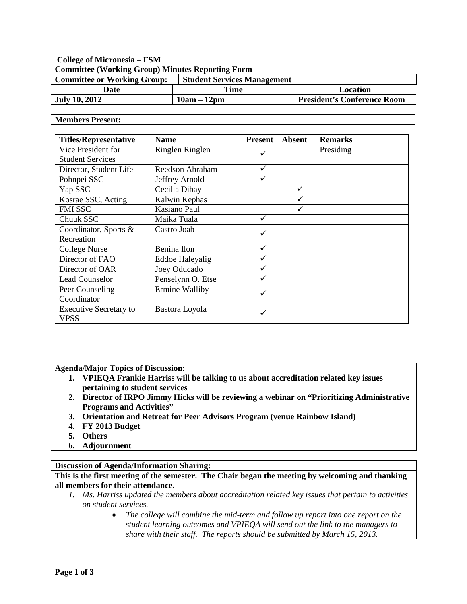## **College of Micronesia – FSM Committee (Working Group) Minutes Reporting Form**

| <b>Committee or Working Group:</b> | <b>Student Services Management</b> |                                    |
|------------------------------------|------------------------------------|------------------------------------|
| Date                               | Time                               | Location                           |
| <b>July 10, 2012</b>               | $10am - 12dm$                      | <b>President's Conference Room</b> |

#### **Members Present:**

| <b>Titles/Representative</b>  | <b>Name</b>            | <b>Present</b> | <b>Absent</b> | <b>Remarks</b> |
|-------------------------------|------------------------|----------------|---------------|----------------|
| Vice President for            | Ringlen Ringlen        | ✓              |               | Presiding      |
| <b>Student Services</b>       |                        |                |               |                |
| Director, Student Life        | Reedson Abraham        | ✓              |               |                |
| Pohnpei SSC                   | Jeffrey Arnold         | ✓              |               |                |
| Yap SSC                       | Cecilia Dibay          |                | ✓             |                |
| Kosrae SSC, Acting            | Kalwin Kephas          |                |               |                |
| <b>FMI SSC</b>                | Kasiano Paul           |                |               |                |
| Chuuk SSC                     | Maika Tuala            | ✓              |               |                |
| Coordinator, Sports &         | Castro Joab            | ✓              |               |                |
| Recreation                    |                        |                |               |                |
| <b>College Nurse</b>          | Benina Ilon            | ✓              |               |                |
| Director of FAO               | <b>Eddoe Haleyalig</b> | ✓              |               |                |
| Director of OAR               | Joey Oducado           | ✓              |               |                |
| Lead Counselor                | Penselynn O. Etse      | ✓              |               |                |
| Peer Counseling               | Ermine Walliby<br>✓    |                |               |                |
| Coordinator                   |                        |                |               |                |
| <b>Executive Secretary to</b> | Bastora Loyola         | ✓              |               |                |
| <b>VPSS</b>                   |                        |                |               |                |

**Agenda/Major Topics of Discussion:**

- **1. VPIEQA Frankie Harriss will be talking to us about accreditation related key issues pertaining to student services**
- **2. Director of IRPO Jimmy Hicks will be reviewing a webinar on "Prioritizing Administrative Programs and Activities"**
- **3. Orientation and Retreat for Peer Advisors Program (venue Rainbow Island)**
- **4. FY 2013 Budget**
- **5. Others**
- **6. Adjournment**

### **Discussion of Agenda/Information Sharing:**

**This is the first meeting of the semester. The Chair began the meeting by welcoming and thanking all members for their attendance.** 

- *1. Ms. Harriss updated the members about accreditation related key issues that pertain to activities on student services.* 
	- *The college will combine the mid-term and follow up report into one report on the student learning outcomes and VPIEQA will send out the link to the managers to share with their staff. The reports should be submitted by March 15, 2013.*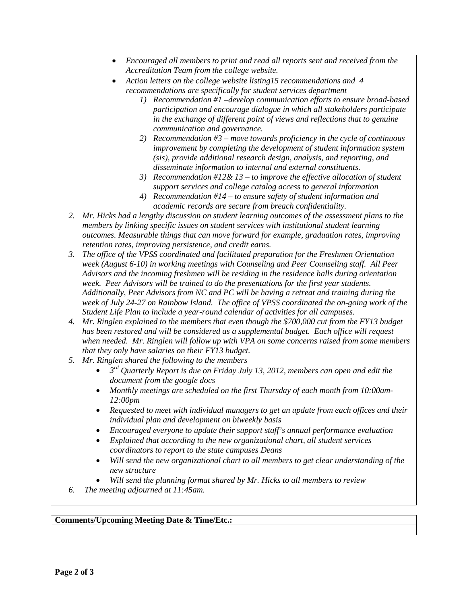- *Encouraged all members to print and read all reports sent and received from the Accreditation Team from the college website.*
- *Action letters on the college website listing15 recommendations and 4 recommendations are specifically for student services department*
	- *1) Recommendation #1 –develop communication efforts to ensure broad-based participation and encourage dialogue in which all stakeholders participate in the exchange of different point of views and reflections that to genuine communication and governance.*
	- *2) Recommendation #3 – move towards proficiency in the cycle of continuous improvement by completing the development of student information system (sis), provide additional research design, analysis, and reporting, and disseminate information to internal and external constituents.*
	- *3) Recommendation #12& 13 – to improve the effective allocation of student support services and college catalog access to general information*
	- *4) Recommendation #14 – to ensure safety of student information and academic records are secure from breach confidentiality.*
- *2. Mr. Hicks had a lengthy discussion on student learning outcomes of the assessment plans to the members by linking specific issues on student services with institutional student learning outcomes. Measurable things that can move forward for example, graduation rates, improving retention rates, improving persistence, and credit earns.*
- *3. The office of the VPSS coordinated and facilitated preparation for the Freshmen Orientation week (August 6-10) in working meetings with Counseling and Peer Counseling staff. All Peer Advisors and the incoming freshmen will be residing in the residence halls during orientation week. Peer Advisors will be trained to do the presentations for the first year students. Additionally, Peer Advisors from NC and PC will be having a retreat and training during the week of July 24-27 on Rainbow Island. The office of VPSS coordinated the on-going work of the Student Life Plan to include a year-round calendar of activities for all campuses.*
- *4. Mr. Ringlen explained to the members that even though the \$700,000 cut from the FY13 budget has been restored and will be considered as a supplemental budget. Each office will request when needed. Mr. Ringlen will follow up with VPA on some concerns raised from some members that they only have salaries on their FY13 budget.*
- *5. Mr. Ringlen shared the following to the members*
	- *3rd Quarterly Report is due on Friday July 13, 2012, members can open and edit the document from the google docs*
	- *Monthly meetings are scheduled on the first Thursday of each month from 10:00am-12:00pm*
	- *Requested to meet with individual managers to get an update from each offices and their individual plan and development on biweekly basis*
	- *Encouraged everyone to update their support staff's annual performance evaluation*
	- *Explained that according to the new organizational chart, all student services coordinators to report to the state campuses Deans*
	- *Will send the new organizational chart to all members to get clear understanding of the new structure*
	- *Will send the planning format shared by Mr. Hicks to all members to review*
- *6. The meeting adjourned at 11:45am.*

### **Comments/Upcoming Meeting Date & Time/Etc.:**